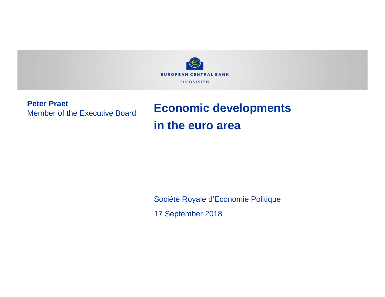

**Peter Praet**Member of the Executive Board

# **Economic developments in the euro area**

Société Royale d'Economie Politique

17 September 2018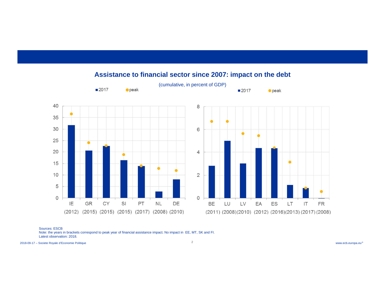

**Assistance to financial sector since 2007: impact on the debt**

Sources: ESCB

 Note: the years in brackets correspond to peak year of financial assistance impact. No impact in EE, MT, SK and FI. Latest observation: 2018.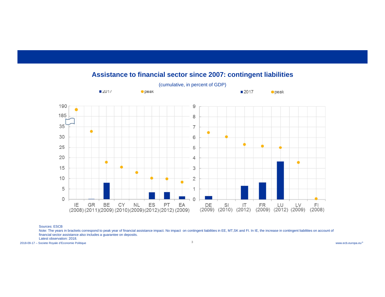

#### **Assistance to financial sector since 2007: contingent liabilities**

Sources: ESCB

Note: The years in brackets correspond to peak year of financial assistance impact. No impact on contingent liabilities in EE, MT,SK and FI. In IE, the increase in contingent liabilities on account of financial sector assistance also includes a guarantee on deposits.

Latest observation: 2018.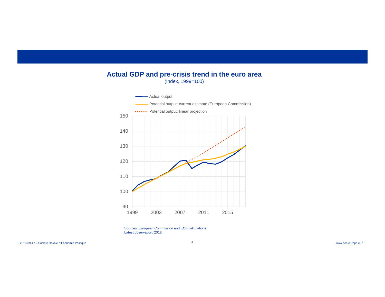#### **Actual GDP and pre-crisis trend in the euro area** (Index, 1999=100)



Sources: European Commission and ECB calculations Latest observation: 2018.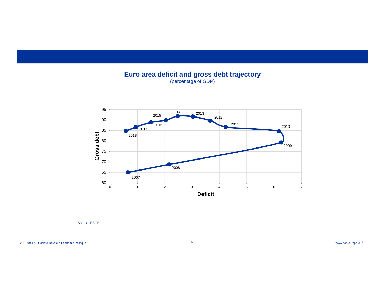**Euro area deficit and gross debt trajectory**  (percentage of GDP)



Source: ESCB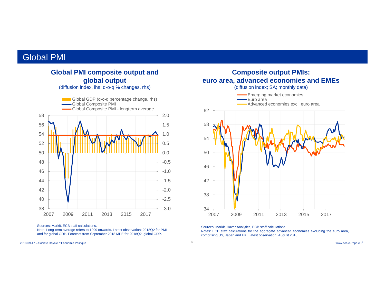#### Global PMI

#### **Global PMI composite output and global output**

(diffusion index, lhs; q-o-q % changes, rhs)



Sources: Markit, ECB staff calculations.

Note: Long-term average refers to 1999 onwards. Latest observation: 2018Q2 for PMI and for global GDP. Forecast from September 2018 MPE for 2018Q2 global GDP.

www.ecb.europa.eu© 2018-09-17 – Societe Royale d'Economie Politique



Sources: Markit, Haver Analytics, ECB staff calculations.

Notes: ECB staff calculations for the aggregate advanced economies excluding the euro area, comprising US, Japan and UK. Latest observation: August 2018.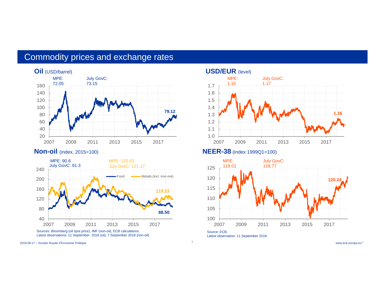### Commodity prices and exchange rates





Latest observations: 11 September 2018 (oil), 7 September 2018 (non-oil).

www.ecb.europa.eu© 2018-09-17 – Societe Royale d'Economie Politique

#### **USD/EUR** (level) 1.02007 1.1 1.2 1.3 1.4 1.51.61.7 2007 2009 2011 2013 2015 2017MPE: 1.15 July GovC: 1.17 **1.16**

#### **Non-oil** (index, 2015=100) **NEER-38** (index 1999Q1=100)

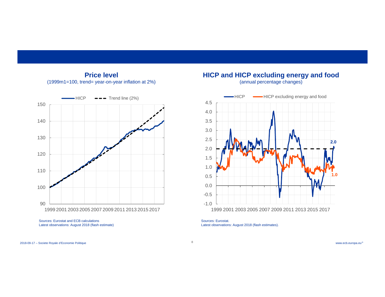

#### **Price level**(1999m1=100, trend= year-on-year inflation at 2%)

Sources: Eurostat and ECB calculationsLatest observations: August 2018 (flash estimate)



**HICP and HICP excluding energy and food** (annual percentage changes)

Sources: Eurostat. Latest observations: August 2018 (flash estimates).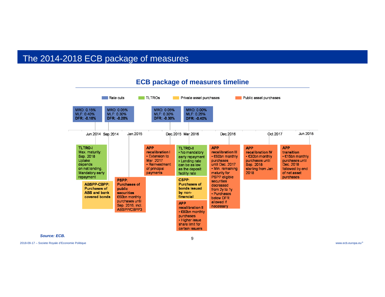### The 2014-2018 ECB package of measures



#### **ECB package of measures timeline**

*Source: ECB.*

www.ecb.europa.eu© 2018-09-17 – Societe Royale d'Economie Politique

**9**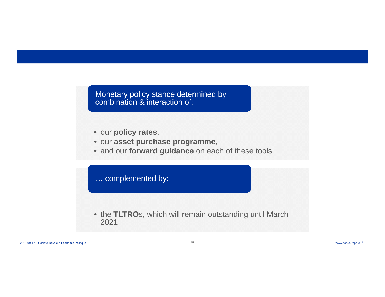Monetary policy stance determined by combination & interaction of:

- our **policy rates**,
- our **asset purchase programme**,
- and our **forward guidance** on each of these tools

… complemented by:

• the **TLTRO**s, which will remain outstanding until March 2021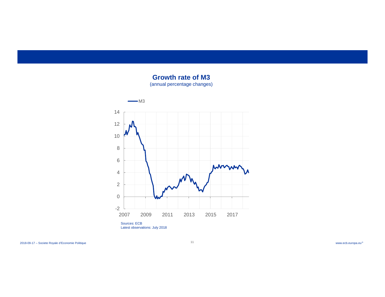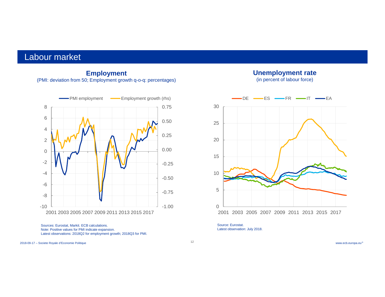#### Labour market

#### **Employment** (PMI: deviation from 50; Employment growth q-o-q: percentages)



Sources: Eurostat, Markit. ECB calculations. Note: Positive values for PMI indicate expansion. Latest observations: 2018Q2 for employment growth; 2018Q3 for PMI.

www.ecb.europa.eu© 2018-09-17 – Societe Royale d'Economie Politique

#### **Unemployment rate**

(in percent of labour force)



Source: Eurostat.Latest observation: July 2018.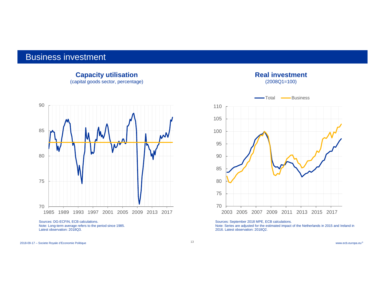#### Business investment



**Capacity utilisation** (capital goods sector, percentage)

Note: Long-term average refers to the period since 1985. Latest observation: 2018Q3.

## (2008Q1=100) 707580 85 9095 100 105 1102003 2005 2007 2009 2011 2013 2015 2017 Totall <del>- B</del>usiness

**Real investment**

Sources: September 2018 MPE, ECB calculations.

Note: Series are adjusted for the estimated impact of the Netherlands in 2015 and Ireland in 2016. Latest observation: 2018Q2.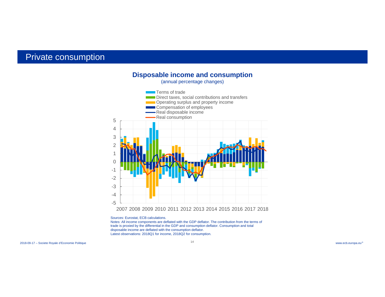#### Private consumption



Sources: Eurostat, ECB calculations. Notes: All income components are deflated with the GDP deflator. The contribution from the terms of trade is proxied by the differential in the GDP and consumption deflator. Consumption and total disposable income are deflated with the consumption deflator. Latest observations: 2018Q1 for income, 2018Q2 for consumption.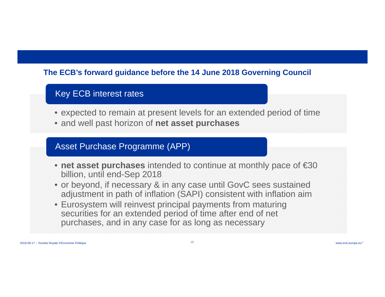### **The ECB's forward guidance before the 14 June 2018 Governing Council**

### Key ECB interest rates

- expected to remain at present levels for an extended period of time
- and well past horizon of **net asset purchases**

### Asset Purchase Programme (APP)

- **net asset purchases** intended to continue at monthly pace of €30 billion, until end-Sep 2018
- or beyond, if necessary & in any case until GovC sees sustained adjustment in path of inflation (SAPI) consistent with inflation aim
- Eurosystem will reinvest principal payments from maturing securities for an extended period of time after end of net purchases, and in any case for as long as necessary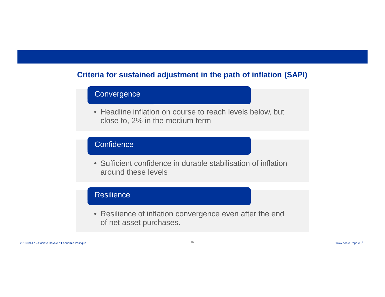### **Criteria for sustained adjustment in the path of inflation (SAPI)**

### **Convergence**

• Headline inflation on course to reach levels below, but close to, 2% in the medium term

#### Confidence

• Sufficient confidence in durable stabilisation of inflationaround these levels

#### Resilience

• Resilience of inflation convergence even after the end of net asset purchases.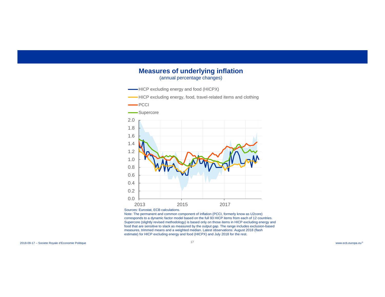#### **Measures of underlying inflation** (annual percentage changes)



Note: The permanent and common component of inflation (PCCI, formerly know as U2core) corresponds to a dynamic factor model based on the full 93 HICP items from each of 12 countries. Supercore (slightly revised methodology) is based only on those items in HICP excluding energy and food that are sensitive to slack as measured by the output gap. The range includes exclusion-based measures, trimmed means and a weighted median. Latest observations: August 2018 (flash estimate) for HICP excluding energy and food (HICPX) and July 2018 for the rest.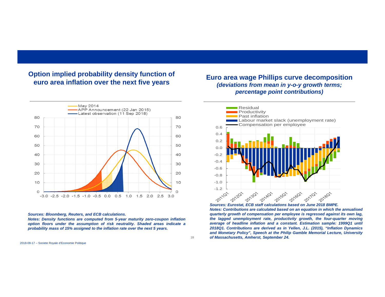#### **Option implied probability density function of euro area inflation over the next five years**

![](_page_17_Figure_1.jpeg)

#### *Sources: Bloomberg, Reuters, and ECB calculations.*

*Notes: Density functions are computed from 5-year maturity zero-coupon inflation* option floors under the assumption of risk neutrality. Shaded areas indicate a probability mass of 15% assigned to the inflation rate over the next 5 years.

#### **Euro area wage Phillips curve decomposition** *(deviations from mean in y-o-y growth terms; percentage point contributions)*

![](_page_17_Figure_6.jpeg)

*Sources: Eurostat, ECB staff calculations based on June 2018 BMPE.* Notes: Contributions are calculated based on an equation in which the annualised quarterly growth of compensation per employee is regressed against its own lag. *the lagged unemployment rate, productivity growth, the four-quarter moving average of headline inflation and <sup>a</sup> constant. Estimation sample: 1999Q1 until* 2018Q1. Contributions are derived as in Yellen, J.L. (2015), "Inflation Dynamics and Monetary Policy", Speech at the Philip Gamble Memorial Lecture, University *of Massachusetts, Amherst, September 24.*

18